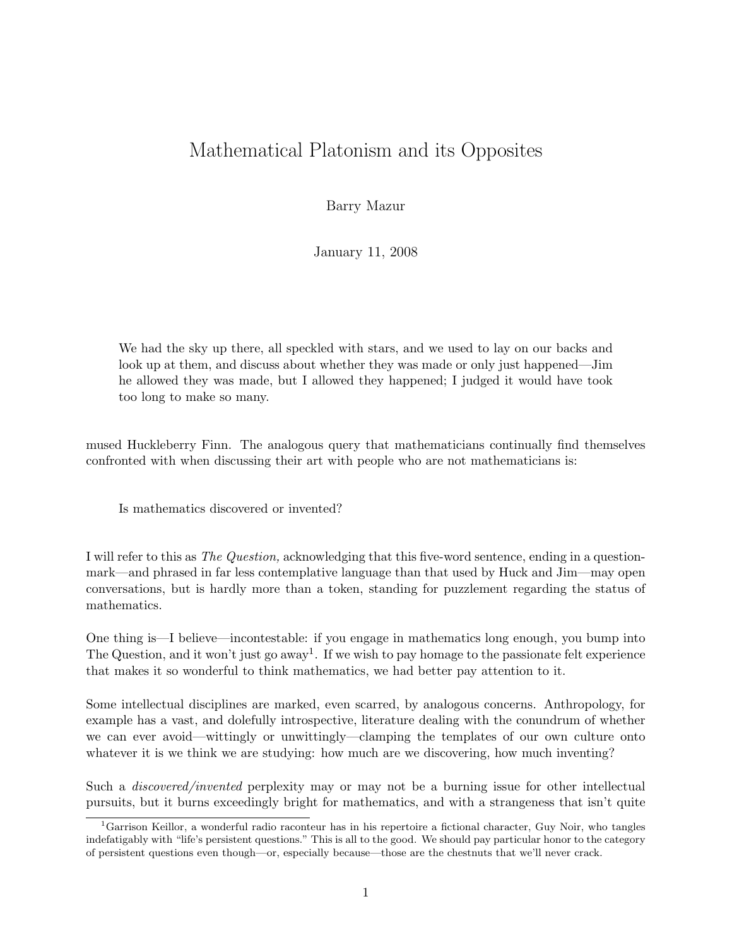## Mathematical Platonism and its Opposites

Barry Mazur

January 11, 2008

We had the sky up there, all speckled with stars, and we used to lay on our backs and look up at them, and discuss about whether they was made or only just happened—Jim he allowed they was made, but I allowed they happened; I judged it would have took too long to make so many.

mused Huckleberry Finn. The analogous query that mathematicians continually find themselves confronted with when discussing their art with people who are not mathematicians is:

Is mathematics discovered or invented?

I will refer to this as The Question, acknowledging that this five-word sentence, ending in a questionmark—and phrased in far less contemplative language than that used by Huck and Jim—may open conversations, but is hardly more than a token, standing for puzzlement regarding the status of mathematics.

One thing is—I believe—incontestable: if you engage in mathematics long enough, you bump into The Question, and it won't just go away<sup>1</sup>. If we wish to pay homage to the passionate felt experience that makes it so wonderful to think mathematics, we had better pay attention to it.

Some intellectual disciplines are marked, even scarred, by analogous concerns. Anthropology, for example has a vast, and dolefully introspective, literature dealing with the conundrum of whether we can ever avoid—wittingly or unwittingly—clamping the templates of our own culture onto whatever it is we think we are studying: how much are we discovering, how much inventing?

Such a discovered/invented perplexity may or may not be a burning issue for other intellectual pursuits, but it burns exceedingly bright for mathematics, and with a strangeness that isn't quite

<sup>&</sup>lt;sup>1</sup>Garrison Keillor, a wonderful radio raconteur has in his repertoire a fictional character, Guy Noir, who tangles indefatigably with "life's persistent questions." This is all to the good. We should pay particular honor to the category of persistent questions even though—or, especially because—those are the chestnuts that we'll never crack.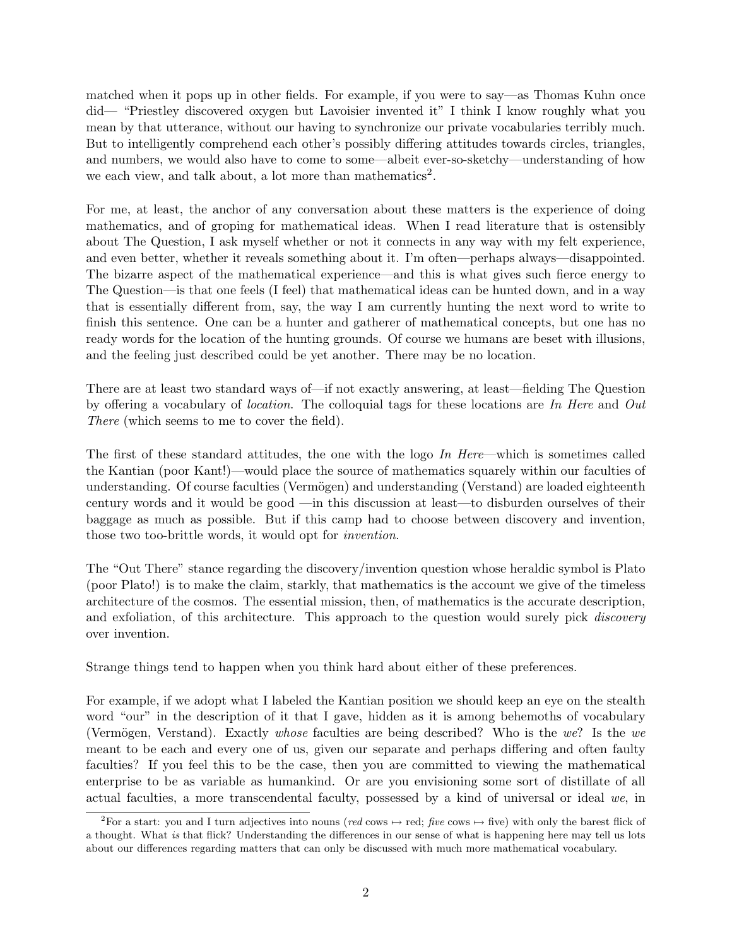matched when it pops up in other fields. For example, if you were to say—as Thomas Kuhn once did— "Priestley discovered oxygen but Lavoisier invented it" I think I know roughly what you mean by that utterance, without our having to synchronize our private vocabularies terribly much. But to intelligently comprehend each other's possibly differing attitudes towards circles, triangles, and numbers, we would also have to come to some—albeit ever-so-sketchy—understanding of how we each view, and talk about, a lot more than mathematics<sup>2</sup>.

For me, at least, the anchor of any conversation about these matters is the experience of doing mathematics, and of groping for mathematical ideas. When I read literature that is ostensibly about The Question, I ask myself whether or not it connects in any way with my felt experience, and even better, whether it reveals something about it. I'm often—perhaps always—disappointed. The bizarre aspect of the mathematical experience—and this is what gives such fierce energy to The Question—is that one feels (I feel) that mathematical ideas can be hunted down, and in a way that is essentially different from, say, the way I am currently hunting the next word to write to finish this sentence. One can be a hunter and gatherer of mathematical concepts, but one has no ready words for the location of the hunting grounds. Of course we humans are beset with illusions, and the feeling just described could be yet another. There may be no location.

There are at least two standard ways of—if not exactly answering, at least—fielding The Question by offering a vocabulary of location. The colloquial tags for these locations are In Here and Out There (which seems to me to cover the field).

The first of these standard attitudes, the one with the logo In Here—which is sometimes called the Kantian (poor Kant!)—would place the source of mathematics squarely within our faculties of understanding. Of course faculties (Vermögen) and understanding (Verstand) are loaded eighteenth century words and it would be good —in this discussion at least—to disburden ourselves of their baggage as much as possible. But if this camp had to choose between discovery and invention, those two too-brittle words, it would opt for invention.

The "Out There" stance regarding the discovery/invention question whose heraldic symbol is Plato (poor Plato!) is to make the claim, starkly, that mathematics is the account we give of the timeless architecture of the cosmos. The essential mission, then, of mathematics is the accurate description, and exfoliation, of this architecture. This approach to the question would surely pick *discovery* over invention.

Strange things tend to happen when you think hard about either of these preferences.

For example, if we adopt what I labeled the Kantian position we should keep an eye on the stealth word "our" in the description of it that I gave, hidden as it is among behemoths of vocabulary (Vermögen, Verstand). Exactly whose faculties are being described? Who is the we? Is the we meant to be each and every one of us, given our separate and perhaps differing and often faulty faculties? If you feel this to be the case, then you are committed to viewing the mathematical enterprise to be as variable as humankind. Or are you envisioning some sort of distillate of all actual faculties, a more transcendental faculty, possessed by a kind of universal or ideal we, in

<sup>&</sup>lt;sup>2</sup>For a start: you and I turn adjectives into nouns (red cows  $\mapsto$  red; five cows  $\mapsto$  five) with only the barest flick of a thought. What is that flick? Understanding the differences in our sense of what is happening here may tell us lots about our differences regarding matters that can only be discussed with much more mathematical vocabulary.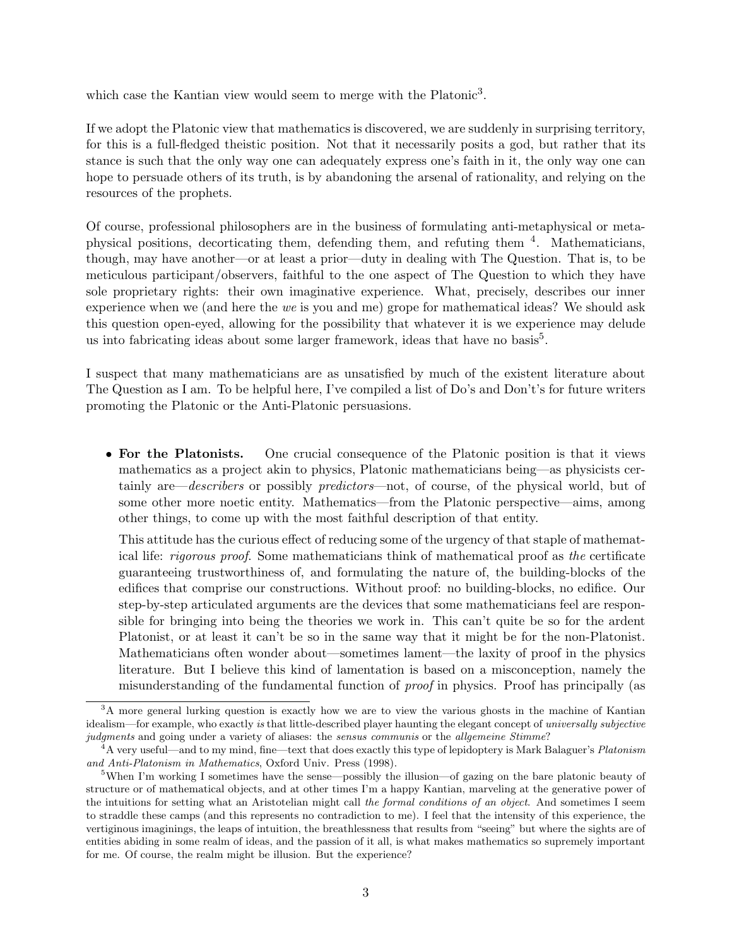which case the Kantian view would seem to merge with the Platonic<sup>3</sup>.

If we adopt the Platonic view that mathematics is discovered, we are suddenly in surprising territory, for this is a full-fledged theistic position. Not that it necessarily posits a god, but rather that its stance is such that the only way one can adequately express one's faith in it, the only way one can hope to persuade others of its truth, is by abandoning the arsenal of rationality, and relying on the resources of the prophets.

Of course, professional philosophers are in the business of formulating anti-metaphysical or metaphysical positions, decorticating them, defending them, and refuting them <sup>4</sup>. Mathematicians, though, may have another—or at least a prior—duty in dealing with The Question. That is, to be meticulous participant/observers, faithful to the one aspect of The Question to which they have sole proprietary rights: their own imaginative experience. What, precisely, describes our inner experience when we (and here the we is you and me) grope for mathematical ideas? We should ask this question open-eyed, allowing for the possibility that whatever it is we experience may delude us into fabricating ideas about some larger framework, ideas that have no basis<sup>5</sup>.

I suspect that many mathematicians are as unsatisfied by much of the existent literature about The Question as I am. To be helpful here, I've compiled a list of Do's and Don't's for future writers promoting the Platonic or the Anti-Platonic persuasions.

• For the Platonists. One crucial consequence of the Platonic position is that it views mathematics as a project akin to physics, Platonic mathematicians being—as physicists certainly are—*describers* or possibly *predictors*—not, of course, of the physical world, but of some other more noetic entity. Mathematics—from the Platonic perspective—aims, among other things, to come up with the most faithful description of that entity.

This attitude has the curious effect of reducing some of the urgency of that staple of mathematical life: rigorous proof. Some mathematicians think of mathematical proof as the certificate guaranteeing trustworthiness of, and formulating the nature of, the building-blocks of the edifices that comprise our constructions. Without proof: no building-blocks, no edifice. Our step-by-step articulated arguments are the devices that some mathematicians feel are responsible for bringing into being the theories we work in. This can't quite be so for the ardent Platonist, or at least it can't be so in the same way that it might be for the non-Platonist. Mathematicians often wonder about—sometimes lament—the laxity of proof in the physics literature. But I believe this kind of lamentation is based on a misconception, namely the misunderstanding of the fundamental function of proof in physics. Proof has principally (as

<sup>&</sup>lt;sup>3</sup>A more general lurking question is exactly how we are to view the various ghosts in the machine of Kantian idealism—for example, who exactly is that little-described player haunting the elegant concept of universally subjective judgments and going under a variety of aliases: the sensus communis or the allgemeine Stimme?

<sup>&</sup>lt;sup>4</sup>A very useful—and to my mind, fine—text that does exactly this type of lepidoptery is Mark Balaguer's Platonism and Anti-Platonism in Mathematics, Oxford Univ. Press (1998).

<sup>5</sup>When I'm working I sometimes have the sense—possibly the illusion—of gazing on the bare platonic beauty of structure or of mathematical objects, and at other times I'm a happy Kantian, marveling at the generative power of the intuitions for setting what an Aristotelian might call the formal conditions of an object. And sometimes I seem to straddle these camps (and this represents no contradiction to me). I feel that the intensity of this experience, the vertiginous imaginings, the leaps of intuition, the breathlessness that results from "seeing" but where the sights are of entities abiding in some realm of ideas, and the passion of it all, is what makes mathematics so supremely important for me. Of course, the realm might be illusion. But the experience?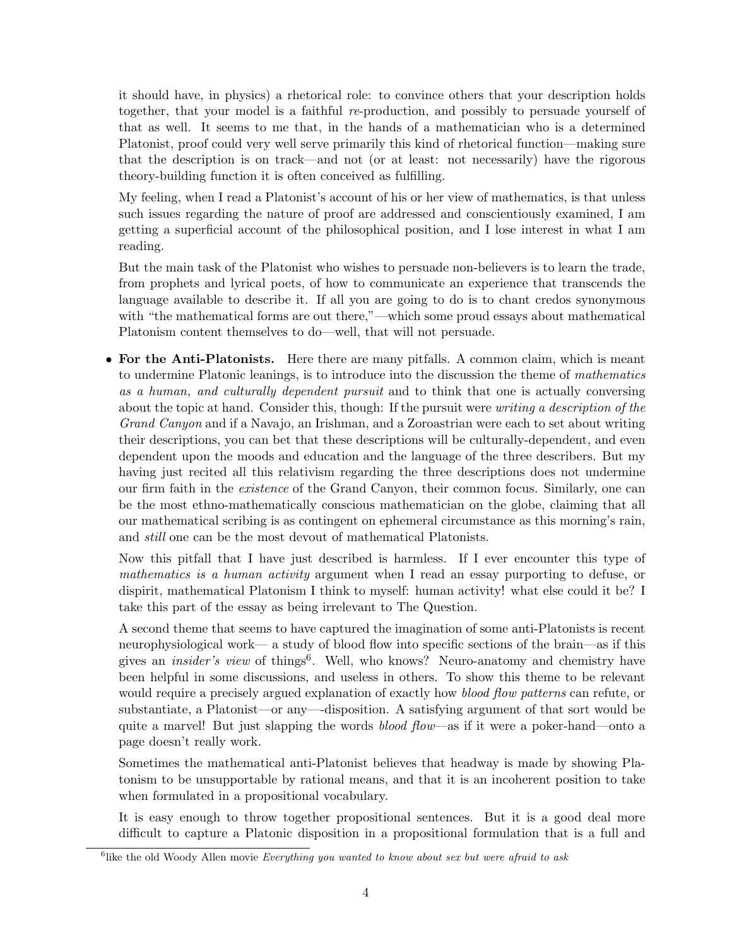it should have, in physics) a rhetorical role: to convince others that your description holds together, that your model is a faithful re-production, and possibly to persuade yourself of that as well. It seems to me that, in the hands of a mathematician who is a determined Platonist, proof could very well serve primarily this kind of rhetorical function—making sure that the description is on track—and not (or at least: not necessarily) have the rigorous theory-building function it is often conceived as fulfilling.

My feeling, when I read a Platonist's account of his or her view of mathematics, is that unless such issues regarding the nature of proof are addressed and conscientiously examined, I am getting a superficial account of the philosophical position, and I lose interest in what I am reading.

But the main task of the Platonist who wishes to persuade non-believers is to learn the trade, from prophets and lyrical poets, of how to communicate an experience that transcends the language available to describe it. If all you are going to do is to chant credos synonymous with "the mathematical forms are out there,"—which some proud essays about mathematical Platonism content themselves to do—well, that will not persuade.

• For the Anti-Platonists. Here there are many pitfalls. A common claim, which is meant to undermine Platonic leanings, is to introduce into the discussion the theme of mathematics as a human, and culturally dependent pursuit and to think that one is actually conversing about the topic at hand. Consider this, though: If the pursuit were *writing a description of the* Grand Canyon and if a Navajo, an Irishman, and a Zoroastrian were each to set about writing their descriptions, you can bet that these descriptions will be culturally-dependent, and even dependent upon the moods and education and the language of the three describers. But my having just recited all this relativism regarding the three descriptions does not undermine our firm faith in the existence of the Grand Canyon, their common focus. Similarly, one can be the most ethno-mathematically conscious mathematician on the globe, claiming that all our mathematical scribing is as contingent on ephemeral circumstance as this morning's rain, and still one can be the most devout of mathematical Platonists.

Now this pitfall that I have just described is harmless. If I ever encounter this type of mathematics is a human activity argument when I read an essay purporting to defuse, or dispirit, mathematical Platonism I think to myself: human activity! what else could it be? I take this part of the essay as being irrelevant to The Question.

A second theme that seems to have captured the imagination of some anti-Platonists is recent neurophysiological work— a study of blood flow into specific sections of the brain—as if this gives an *insider's view* of things<sup>6</sup>. Well, who knows? Neuro-anatomy and chemistry have been helpful in some discussions, and useless in others. To show this theme to be relevant would require a precisely argued explanation of exactly how blood flow patterns can refute, or substantiate, a Platonist—or any—-disposition. A satisfying argument of that sort would be quite a marvel! But just slapping the words *blood flow*—as if it were a poker-hand—onto a page doesn't really work.

Sometimes the mathematical anti-Platonist believes that headway is made by showing Platonism to be unsupportable by rational means, and that it is an incoherent position to take when formulated in a propositional vocabulary.

It is easy enough to throw together propositional sentences. But it is a good deal more difficult to capture a Platonic disposition in a propositional formulation that is a full and

<sup>&</sup>lt;sup>6</sup>like the old Woody Allen movie Everything you wanted to know about sex but were afraid to ask